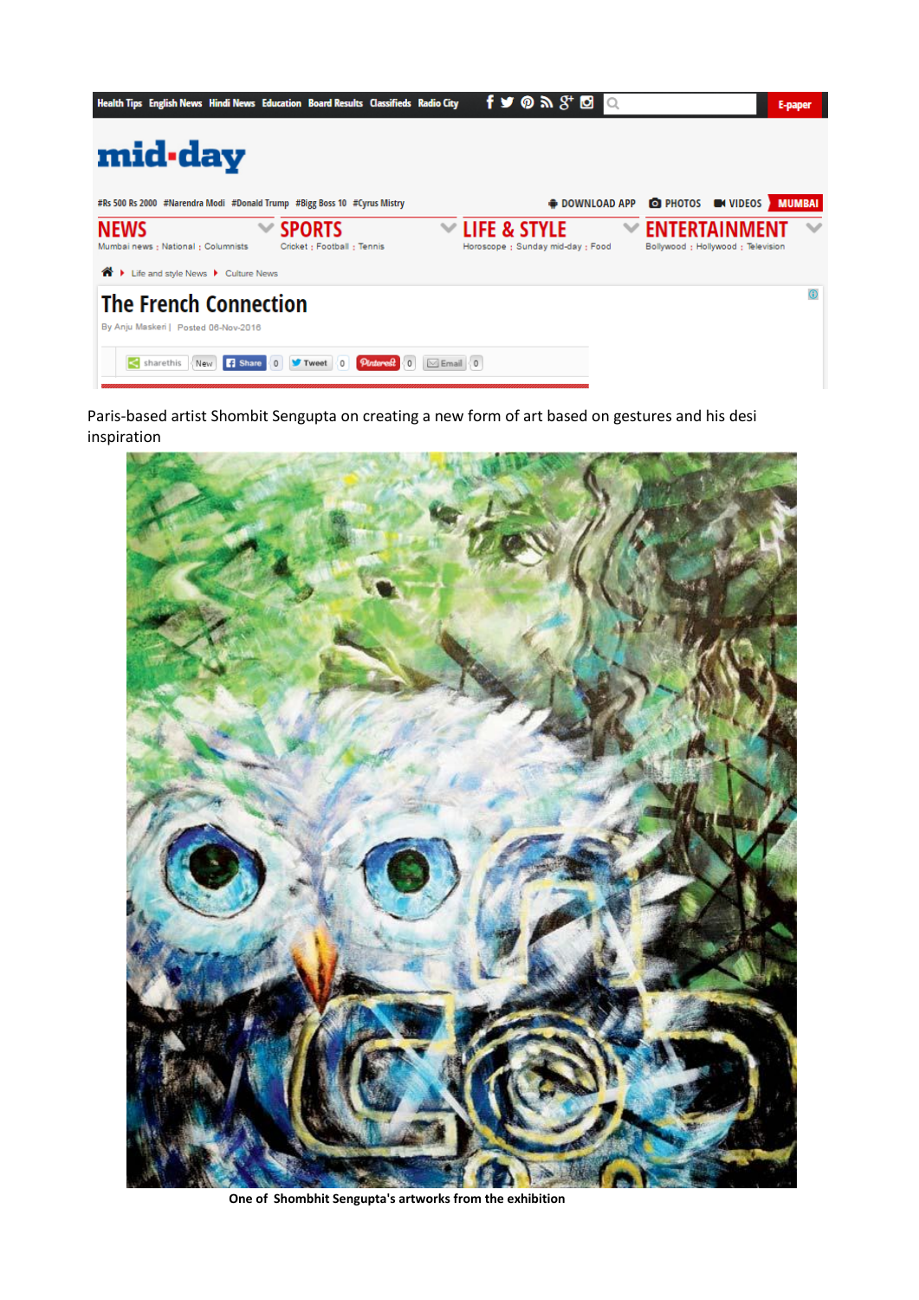| Health Tips English News Hindi News Education Board Results Classifieds Radio City                                                                          | $f \vee \emptyset$ $\mathbb{R}$ $S^* \boxtimes$   | E-paper                                                  |
|-------------------------------------------------------------------------------------------------------------------------------------------------------------|---------------------------------------------------|----------------------------------------------------------|
| mid-day                                                                                                                                                     |                                                   |                                                          |
| #Rs 500 Rs 2000 #Narendra Modi #Donald Trump #Bigg Boss 10 #Cyrus Mistry                                                                                    |                                                   | <b>DOWNLOAD APP OD PHOTOS ON VIDEOS</b><br><b>MUMBAI</b> |
| <b>NEWS</b><br><b>SPORTS</b><br>$\checkmark$<br>Cricket: Football: Tennis<br>Mumbai news : National : Columnists<br>⋒<br>Life and style News > Culture News | LIFE & STYLE<br>Horoscope : Sunday mid-day : Food | Bollywood : Hollywood : Television                       |
| <b>The French Connection</b><br>By Anju Maskeri   Posted 06-Nov-2016                                                                                        |                                                   |                                                          |
| sharethis<br><b>B</b> Share<br>Pinterest<br>$\bowtie$ Email $\langle 0$<br>New<br>Tweet<br>$\circ$                                                          |                                                   |                                                          |

Paris-based artist Shombit Sengupta on creating a new form of art based on gestures and his desi inspiration



 **One of Shombhit Sengupta's artworks from the exhibition**